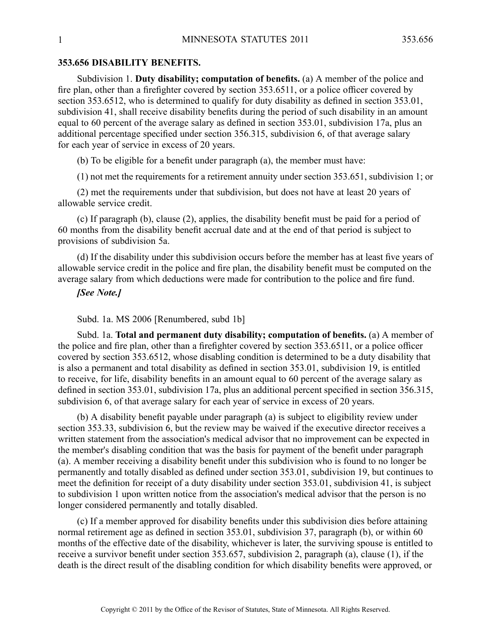### **353.656 DISABILITY BENEFITS.**

Subdivision 1. **Duty disability; computation of benefits.** (a) A member of the police and fire plan, other than <sup>a</sup> firefighter covered by section 353.6511, or <sup>a</sup> police officer covered by section 353.6512, who is determined to qualify for duty disability as defined in section 353.01, subdivision 41, shall receive disability benefits during the period of such disability in an amount equal to 60 percen<sup>t</sup> of the average salary as defined in section 353.01, subdivision 17a, plus an additional percentage specified under section 356.315, subdivision 6, of that average salary for each year of service in excess of 20 years.

(b) To be eligible for <sup>a</sup> benefit under paragraph (a), the member must have:

(1) not met the requirements for <sup>a</sup> retirement annuity under section 353.651, subdivision 1; or

(2) met the requirements under that subdivision, but does not have at least 20 years of allowable service credit.

(c) If paragraph (b), clause (2), applies, the disability benefit must be paid for <sup>a</sup> period of 60 months from the disability benefit accrual date and at the end of that period is subject to provisions of subdivision 5a.

(d) If the disability under this subdivision occurs before the member has at least five years of allowable service credit in the police and fire plan, the disability benefit must be computed on the average salary from which deductions were made for contribution to the police and fire fund.

## *[See Note.]*

### Subd. 1a. MS 2006 [Renumbered, subd 1b]

Subd. 1a. **Total and permanen<sup>t</sup> duty disability; computation of benefits.** (a) A member of the police and fire plan, other than <sup>a</sup> firefighter covered by section 353.6511, or <sup>a</sup> police officer covered by section 353.6512, whose disabling condition is determined to be <sup>a</sup> duty disability that is also <sup>a</sup> permanen<sup>t</sup> and total disability as defined in section 353.01, subdivision 19, is entitled to receive, for life, disability benefits in an amount equal to 60 percen<sup>t</sup> of the average salary as defined in section 353.01, subdivision 17a, plus an additional percen<sup>t</sup> specified in section 356.315, subdivision 6, of that average salary for each year of service in excess of 20 years.

(b) A disability benefit payable under paragraph (a) is subject to eligibility review under section 353.33, subdivision 6, but the review may be waived if the executive director receives <sup>a</sup> written statement from the association's medical advisor that no improvement can be expected in the member's disabling condition that was the basis for paymen<sup>t</sup> of the benefit under paragraph (a). Amember receiving <sup>a</sup> disability benefit under this subdivision who is found to no longer be permanently and totally disabled as defined under section 353.01, subdivision 19, but continues to meet the definition for receipt of <sup>a</sup> duty disability under section 353.01, subdivision 41, is subject to subdivision 1 upon written notice from the association's medical advisor that the person is no longer considered permanently and totally disabled.

(c) If <sup>a</sup> member approved for disability benefits under this subdivision dies before attaining normal retirement age as defined in section 353.01, subdivision 37, paragraph (b), or within 60 months of the effective date of the disability, whichever is later, the surviving spouse is entitled to receive <sup>a</sup> survivor benefit under section 353.657, subdivision 2, paragraph (a), clause (1), if the death is the direct result of the disabling condition for which disability benefits were approved, or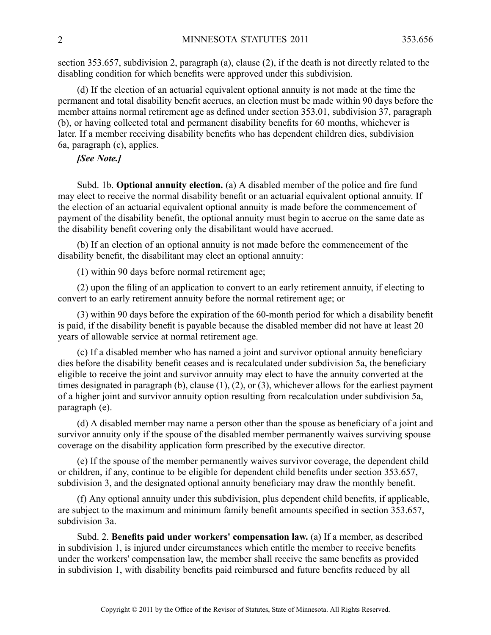section 353.657, subdivision 2, paragraph (a), clause (2), if the death is not directly related to the disabling condition for which benefits were approved under this subdivision.

(d) If the election of an actuarial equivalent optional annuity is not made at the time the permanen<sup>t</sup> and total disability benefit accrues, an election must be made within 90 days before the member attains normal retirement age as defined under section 353.01, subdivision 37, paragraph (b), or having collected total and permanen<sup>t</sup> disability benefits for 60 months, whichever is later. If <sup>a</sup> member receiving disability benefits who has dependent children dies, subdivision 6a, paragraph (c), applies.

# *[See Note.]*

Subd. 1b. **Optional annuity election.** (a) A disabled member of the police and fire fund may elect to receive the normal disability benefit or an actuarial equivalent optional annuity. If the election of an actuarial equivalent optional annuity is made before the commencement of paymen<sup>t</sup> of the disability benefit, the optional annuity must begin to accrue on the same date as the disability benefit covering only the disabilitant would have accrued.

(b) If an election of an optional annuity is not made before the commencement of the disability benefit, the disabilitant may elect an optional annuity:

(1) within 90 days before normal retirement age;

(2) upon the filing of an application to convert to an early retirement annuity, if electing to convert to an early retirement annuity before the normal retirement age; or

(3) within 90 days before the expiration of the 60-month period for which <sup>a</sup> disability benefit is paid, if the disability benefit is payable because the disabled member did not have at least 20 years of allowable service at normal retirement age.

(c) If <sup>a</sup> disabled member who has named <sup>a</sup> joint and survivor optional annuity beneficiary dies before the disability benefit ceases and is recalculated under subdivision 5a, the beneficiary eligible to receive the joint and survivor annuity may elect to have the annuity converted at the times designated in paragraph (b), clause (1), (2), or (3), whichever allows for the earliest paymen<sup>t</sup> of <sup>a</sup> higher joint and survivor annuity option resulting from recalculation under subdivision 5a, paragraph (e).

(d) A disabled member may name <sup>a</sup> person other than the spouse as beneficiary of <sup>a</sup> joint and survivor annuity only if the spouse of the disabled member permanently waives surviving spouse coverage on the disability application form prescribed by the executive director.

(e) If the spouse of the member permanently waives survivor coverage, the dependent child or children, if any, continue to be eligible for dependent child benefits under section 353.657, subdivision 3, and the designated optional annuity beneficiary may draw the monthly benefit.

(f) Any optional annuity under this subdivision, plus dependent child benefits, if applicable, are subject to the maximum and minimum family benefit amounts specified in section 353.657, subdivision 3a.

Subd. 2. **Benefits paid under workers' compensation law.** (a) If <sup>a</sup> member, as described in subdivision 1, is injured under circumstances which entitle the member to receive benefits under the workers' compensation law, the member shall receive the same benefits as provided in subdivision 1, with disability benefits paid reimbursed and future benefits reduced by all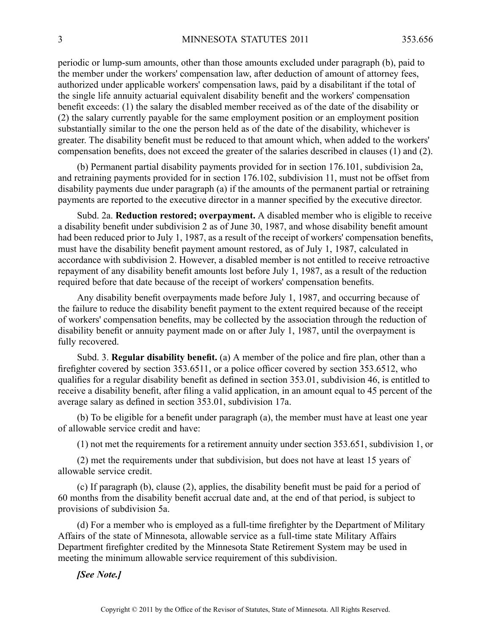periodic or lump-sum amounts, other than those amounts excluded under paragraph (b), paid to the member under the workers' compensation law, after deduction of amount of attorney fees, authorized under applicable workers' compensation laws, paid by <sup>a</sup> disabilitant if the total of the single life annuity actuarial equivalent disability benefit and the workers' compensation benefit exceeds: (1) the salary the disabled member received as of the date of the disability or (2) the salary currently payable for the same employment position or an employment position substantially similar to the one the person held as of the date of the disability, whichever is greater. The disability benefit must be reduced to that amount which, when added to the workers' compensation benefits, does not exceed the greater of the salaries described in clauses (1) and (2).

(b) Permanent partial disability payments provided for in section 176.101, subdivision 2a, and retraining payments provided for in section 176.102, subdivision 11, must not be offset from disability payments due under paragraph (a) if the amounts of the permanen<sup>t</sup> partial or retraining payments are reported to the executive director in <sup>a</sup> manner specified by the executive director.

Subd. 2a. **Reduction restored; overpayment.** Adisabled member who is eligible to receive <sup>a</sup> disability benefit under subdivision 2 as of June 30, 1987, and whose disability benefit amount had been reduced prior to July 1, 1987, as <sup>a</sup> result of the receipt of workers' compensation benefits, must have the disability benefit paymen<sup>t</sup> amount restored, as of July 1, 1987, calculated in accordance with subdivision 2. However, <sup>a</sup> disabled member is not entitled to receive retroactive repaymen<sup>t</sup> of any disability benefit amounts lost before July 1, 1987, as <sup>a</sup> result of the reduction required before that date because of the receipt of workers' compensation benefits.

Any disability benefit overpayments made before July 1, 1987, and occurring because of the failure to reduce the disability benefit paymen<sup>t</sup> to the extent required because of the receipt of workers' compensation benefits, may be collected by the association through the reduction of disability benefit or annuity paymen<sup>t</sup> made on or after July 1, 1987, until the overpaymen<sup>t</sup> is fully recovered.

Subd. 3. **Regular disability benefit.** (a) A member of the police and fire plan, other than <sup>a</sup> firefighter covered by section 353.6511, or <sup>a</sup> police officer covered by section 353.6512, who qualifies for <sup>a</sup> regular disability benefit as defined in section 353.01, subdivision 46, is entitled to receive <sup>a</sup> disability benefit, after filing <sup>a</sup> valid application, in an amount equal to 45 percen<sup>t</sup> of the average salary as defined in section 353.01, subdivision 17a.

(b) To be eligible for <sup>a</sup> benefit under paragraph (a), the member must have at least one year of allowable service credit and have:

(1) not met the requirements for <sup>a</sup> retirement annuity under section 353.651, subdivision 1, or

(2) met the requirements under that subdivision, but does not have at least 15 years of allowable service credit.

(c) If paragraph (b), clause (2), applies, the disability benefit must be paid for <sup>a</sup> period of 60 months from the disability benefit accrual date and, at the end of that period, is subject to provisions of subdivision 5a.

(d) For <sup>a</sup> member who is employed as <sup>a</sup> full-time firefighter by the Department of Military Affairs of the state of Minnesota, allowable service as <sup>a</sup> full-time state Military Affairs Department firefighter credited by the Minnesota State Retirement System may be used in meeting the minimum allowable service requirement of this subdivision.

*[See Note.]*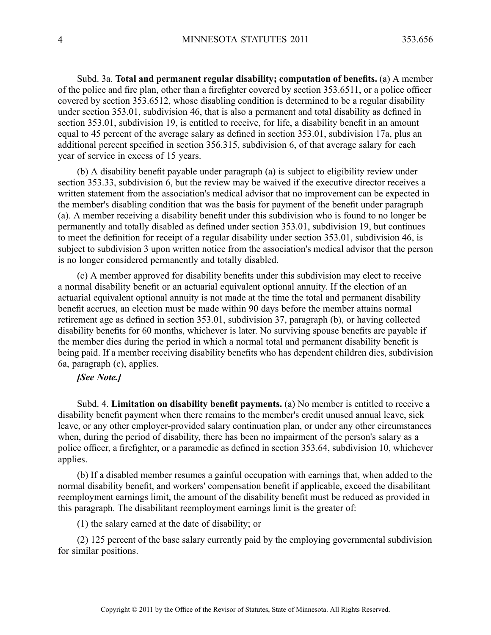Subd. 3a. **Total and permanen<sup>t</sup> regular disability; computation of benefits.** (a) A member of the police and fire plan, other than <sup>a</sup> firefighter covered by section 353.6511, or <sup>a</sup> police officer covered by section 353.6512, whose disabling condition is determined to be <sup>a</sup> regular disability under section 353.01, subdivision 46, that is also <sup>a</sup> permanen<sup>t</sup> and total disability as defined in section 353.01, subdivision 19, is entitled to receive, for life, <sup>a</sup> disability benefit in an amount equal to 45 percen<sup>t</sup> of the average salary as defined in section 353.01, subdivision 17a, plus an additional percen<sup>t</sup> specified in section 356.315, subdivision 6, of that average salary for each year of service in excess of 15 years.

(b) A disability benefit payable under paragraph (a) is subject to eligibility review under section 353.33, subdivision 6, but the review may be waived if the executive director receives <sup>a</sup> written statement from the association's medical advisor that no improvement can be expected in the member's disabling condition that was the basis for paymen<sup>t</sup> of the benefit under paragraph (a). Amember receiving <sup>a</sup> disability benefit under this subdivision who is found to no longer be permanently and totally disabled as defined under section 353.01, subdivision 19, but continues to meet the definition for receipt of <sup>a</sup> regular disability under section 353.01, subdivision 46, is subject to subdivision 3 upon written notice from the association's medical advisor that the person is no longer considered permanently and totally disabled.

(c) A member approved for disability benefits under this subdivision may elect to receive <sup>a</sup> normal disability benefit or an actuarial equivalent optional annuity. If the election of an actuarial equivalent optional annuity is not made at the time the total and permanen<sup>t</sup> disability benefit accrues, an election must be made within 90 days before the member attains normal retirement age as defined in section 353.01, subdivision 37, paragraph (b), or having collected disability benefits for 60 months, whichever is later. No surviving spouse benefits are payable if the member dies during the period in which <sup>a</sup> normal total and permanen<sup>t</sup> disability benefit is being paid. If <sup>a</sup> member receiving disability benefits who has dependent children dies, subdivision 6a, paragraph (c), applies.

### *[See Note.]*

Subd. 4. **Limitation on disability benefit payments.** (a) No member is entitled to receive <sup>a</sup> disability benefit paymen<sup>t</sup> when there remains to the member's credit unused annual leave, sick leave, or any other employer-provided salary continuation plan, or under any other circumstances when, during the period of disability, there has been no impairment of the person's salary as <sup>a</sup> police officer, <sup>a</sup> firefighter, or <sup>a</sup> paramedic as defined in section 353.64, subdivision 10, whichever applies.

(b) If <sup>a</sup> disabled member resumes <sup>a</sup> gainful occupation with earnings that, when added to the normal disability benefit, and workers' compensation benefit if applicable, exceed the disabilitant reemployment earnings limit, the amount of the disability benefit must be reduced as provided in this paragraph. The disabilitant reemployment earnings limit is the greater of:

(1) the salary earned at the date of disability; or

(2) 125 percen<sup>t</sup> of the base salary currently paid by the employing governmental subdivision for similar positions.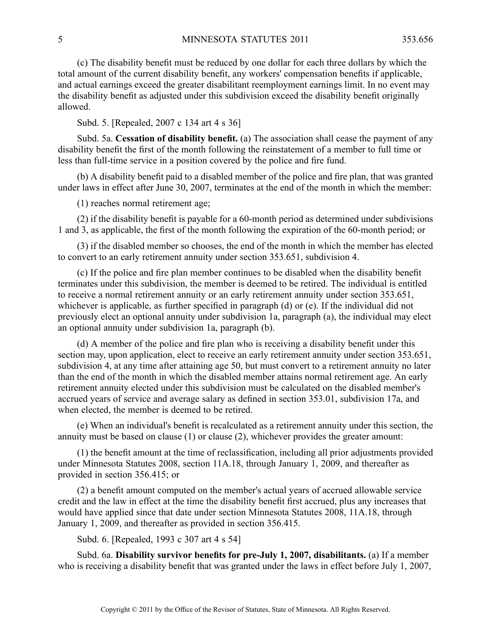(c) The disability benefit must be reduced by one dollar for each three dollars by which the total amount of the current disability benefit, any workers' compensation benefits if applicable, and actual earnings exceed the greater disabilitant reemployment earnings limit. In no event may the disability benefit as adjusted under this subdivision exceed the disability benefit originally allowed.

Subd. 5. [Repealed, 2007 <sup>c</sup> 134 art 4 <sup>s</sup> 36]

Subd. 5a. **Cessation of disability benefit.** (a) The association shall cease the paymen<sup>t</sup> of any disability benefit the first of the month following the reinstatement of <sup>a</sup> member to full time or less than full-time service in <sup>a</sup> position covered by the police and fire fund.

(b) A disability benefit paid to <sup>a</sup> disabled member of the police and fire plan, that was granted under laws in effect after June 30, 2007, terminates at the end of the month in which the member:

(1) reaches normal retirement age;

(2) if the disability benefit is payable for <sup>a</sup> 60-month period as determined under subdivisions 1 and 3, as applicable, the first of the month following the expiration of the 60-month period; or

(3) if the disabled member so chooses, the end of the month in which the member has elected to convert to an early retirement annuity under section 353.651, subdivision 4.

(c) If the police and fire plan member continues to be disabled when the disability benefit terminates under this subdivision, the member is deemed to be retired. The individual is entitled to receive <sup>a</sup> normal retirement annuity or an early retirement annuity under section 353.651, whichever is applicable, as further specified in paragraph (d) or (e). If the individual did not previously elect an optional annuity under subdivision 1a, paragraph (a), the individual may elect an optional annuity under subdivision 1a, paragraph (b).

(d) A member of the police and fire plan who is receiving <sup>a</sup> disability benefit under this section may, upon application, elect to receive an early retirement annuity under section 353.651, subdivision 4, at any time after attaining age 50, but must convert to <sup>a</sup> retirement annuity no later than the end of the month in which the disabled member attains normal retirement age. An early retirement annuity elected under this subdivision must be calculated on the disabled member's accrued years of service and average salary as defined in section 353.01, subdivision 17a, and when elected, the member is deemed to be retired.

(e) When an individual's benefit is recalculated as <sup>a</sup> retirement annuity under this section, the annuity must be based on clause (1) or clause (2), whichever provides the greater amount:

(1) the benefit amount at the time of reclassification, including all prior adjustments provided under Minnesota Statutes 2008, section 11A.18, through January 1, 2009, and thereafter as provided in section 356.415; or

(2) <sup>a</sup> benefit amount computed on the member's actual years of accrued allowable service credit and the law in effect at the time the disability benefit first accrued, plus any increases that would have applied since that date under section Minnesota Statutes 2008, 11A.18, through January 1, 2009, and thereafter as provided in section 356.415.

Subd. 6. [Repealed, 1993 <sup>c</sup> 307 art 4 <sup>s</sup> 54]

Subd. 6a. **Disability survivor benefits for pre-July 1, 2007, disabilitants.** (a) If <sup>a</sup> member who is receiving <sup>a</sup> disability benefit that was granted under the laws in effect before July 1, 2007,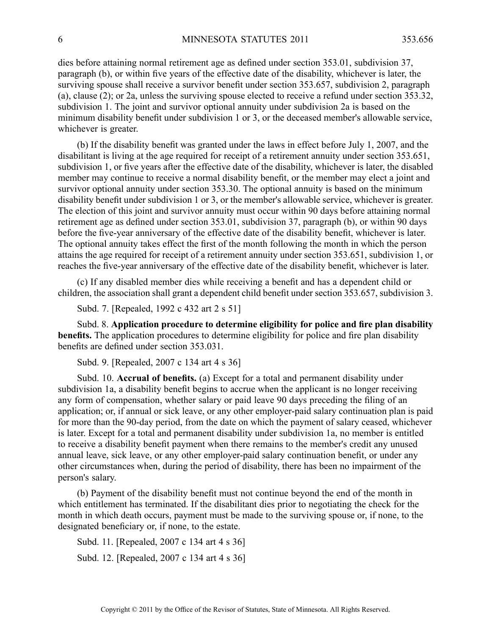dies before attaining normal retirement age as defined under section 353.01, subdivision 37, paragraph (b), or within five years of the effective date of the disability, whichever is later, the surviving spouse shall receive <sup>a</sup> survivor benefit under section 353.657, subdivision 2, paragraph (a), clause (2); or 2a, unless the surviving spouse elected to receive <sup>a</sup> refund under section 353.32, subdivision 1. The joint and survivor optional annuity under subdivision 2a is based on the minimum disability benefit under subdivision 1 or 3, or the deceased member's allowable service, whichever is greater.

(b) If the disability benefit was granted under the laws in effect before July 1, 2007, and the disabilitant is living at the age required for receipt of <sup>a</sup> retirement annuity under section 353.651, subdivision 1, or five years after the effective date of the disability, whichever is later, the disabled member may continue to receive <sup>a</sup> normal disability benefit, or the member may elect <sup>a</sup> joint and survivor optional annuity under section 353.30. The optional annuity is based on the minimum disability benefit under subdivision 1 or 3, or the member's allowable service, whichever is greater. The election of this joint and survivor annuity must occur within 90 days before attaining normal retirement age as defined under section 353.01, subdivision 37, paragraph (b), or within 90 days before the five-year anniversary of the effective date of the disability benefit, whichever is later. The optional annuity takes effect the first of the month following the month in which the person attains the age required for receipt of <sup>a</sup> retirement annuity under section 353.651, subdivision 1, or reaches the five-year anniversary of the effective date of the disability benefit, whichever is later.

(c) If any disabled member dies while receiving <sup>a</sup> benefit and has <sup>a</sup> dependent child or children, the association shall gran<sup>t</sup> <sup>a</sup> dependent child benefit under section 353.657, subdivision 3.

Subd. 7. [Repealed, 1992 <sup>c</sup> 432 art 2 <sup>s</sup> 51]

Subd. 8. **Application procedure to determine eligibility for police and fire plan disability benefits.** The application procedures to determine eligibility for police and fire plan disability benefits are defined under section 353.031.

Subd. 9. [Repealed, 2007 <sup>c</sup> 134 art 4 <sup>s</sup> 36]

Subd. 10. **Accrual of benefits.** (a) Except for <sup>a</sup> total and permanen<sup>t</sup> disability under subdivision 1a, <sup>a</sup> disability benefit begins to accrue when the applicant is no longer receiving any form of compensation, whether salary or paid leave 90 days preceding the filing of an application; or, if annual or sick leave, or any other employer-paid salary continuation plan is paid for more than the 90-day period, from the date on which the paymen<sup>t</sup> of salary ceased, whichever is later. Except for <sup>a</sup> total and permanen<sup>t</sup> disability under subdivision 1a, no member is entitled to receive <sup>a</sup> disability benefit paymen<sup>t</sup> when there remains to the member's credit any unused annual leave, sick leave, or any other employer-paid salary continuation benefit, or under any other circumstances when, during the period of disability, there has been no impairment of the person's salary.

(b) Payment of the disability benefit must not continue beyond the end of the month in which entitlement has terminated. If the disabilitant dies prior to negotiating the check for the month in which death occurs, paymen<sup>t</sup> must be made to the surviving spouse or, if none, to the designated beneficiary or, if none, to the estate.

Subd. 11. [Repealed, 2007 <sup>c</sup> 134 art 4 <sup>s</sup> 36] Subd. 12. [Repealed, 2007 <sup>c</sup> 134 art 4 <sup>s</sup> 36]